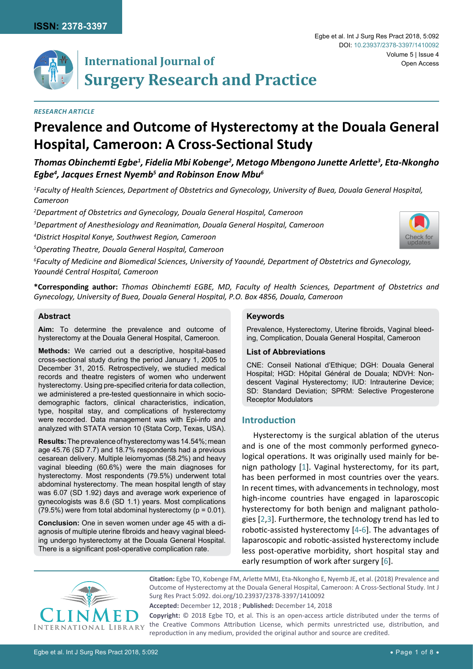

# **International Journal of Surgery Research and Practice**

## *Research Article*

# **Prevalence and Outcome of Hysterectomy at the Douala General Hospital, Cameroon: A Cross-Sectional Study**

*Thomas Obinchemti Egbe<sup>1</sup> , Fidelia Mbi Kobenge<sup>2</sup> , Metogo Mbengono Junette Arlette<sup>3</sup> , Eta-Nkongho Egbe<sup>4</sup> , Jacques Ernest Nyemb<sup>5</sup> and Robinson Enow Mbu<sup>6</sup>*

*1 Faculty of Health Sciences, Department of Obstetrics and Gynecology, University of Buea, Douala General Hospital, Cameroon*

*2 Department of Obstetrics and Gynecology, Douala General Hospital, Cameroon*

*3 Department of Anesthesiology and Reanimation, Douala General Hospital, Cameroon*

*4 District Hospital Konye, Southwest Region, Cameroon*

*5 Operating Theatre, Douala General Hospital, Cameroon*

*6 Faculty of Medicine and Biomedical Sciences, University of Yaoundé, Department of Obstetrics and Gynecology, Yaoundé Central Hospital, Cameroon*

**\*Corresponding author:** *Thomas Obinchemti EGBE, MD, Faculty of Health Sciences, Department of Obstetrics and Gynecology, University of Buea, Douala General Hospital, P.O. Box 4856, Douala, Cameroon* 

#### **Abstract**

**Aim:** To determine the prevalence and outcome of hysterectomy at the Douala General Hospital, Cameroon.

**Methods:** We carried out a descriptive, hospital-based cross-sectional study during the period January 1, 2005 to December 31, 2015. Retrospectively, we studied medical records and theatre registers of women who underwent hysterectomy. Using pre-specified criteria for data collection, we administered a pre-tested questionnaire in which sociodemographic factors, clinical characteristics, indication, type, hospital stay, and complications of hysterectomy were recorded. Data management was with Epi-info and analyzed with STATA version 10 (Stata Corp, Texas, USA).

**Results:** The prevalence of hysterectomy was 14.54%; mean age 45.76 (SD 7.7) and 18.7% respondents had a previous cesarean delivery. Multiple leiomyomas (58.2%) and heavy vaginal bleeding (60.6%) were the main diagnoses for hysterectomy. Most respondents (79.5%) underwent total abdominal hysterectomy. The mean hospital length of stay was 6.07 (SD 1.92) days and average work experience of gynecologists was 8.6 (SD 1.1) years. Most complications  $(79.5\%)$  were from total abdominal hysterectomy ( $p = 0.01$ ).

**Conclusion:** One in seven women under age 45 with a diagnosis of multiple uterine fibroids and heavy vaginal bleeding undergo hysterectomy at the Douala General Hospital. There is a significant post-operative complication rate.

### **Keywords**

Prevalence, Hysterectomy, Uterine fibroids, Vaginal bleeding, Complication, Douala General Hospital, Cameroon

### **List of Abbreviations**

CNE: Conseil National d'Ethique; DGH: Douala General Hospital; HGD: Hôpital Général de Douala; NDVH: Nondescent Vaginal Hysterectomy; IUD: Intrauterine Device; SD: Standard Deviation; SPRM: Selective Progesterone Receptor Modulators

# **Introduction**

Hysterectomy is the surgical ablation of the uterus and is one of the most commonly performed gynecological operations. It was originally used mainly for benign pathology [[1](#page-6-0)]. Vaginal hysterectomy, for its part, has been performed in most countries over the years. In recent times, with advancements in technology, most high-income countries have engaged in laparoscopic hysterectomy for both benign and malignant pathologies [[2](#page-6-1),[3\]](#page-6-2). Furthermore, the technology trend has led to robotic-assisted hysterectomy [\[4](#page-7-0)-[6](#page-7-1)]. The advantages of laparoscopic and robotic-assisted hysterectomy include less post-operative morbidity, short hospital stay and early resumption of work after surgery [[6](#page-7-1)].



**Citation:** Egbe TO, Kobenge FM, Arlette MMJ, Eta-Nkongho E, Nyemb JE, et al. (2018) Prevalence and Outcome of Hysterectomy at the Douala General Hospital, Cameroon: A Cross-Sectional Study. Int J Surg Res Pract 5:092. [doi.org/10.23937/2378-3397/1410092](https://doi.org/10.23937/2378-3397/1410092)

**Accepted:** December 12, 2018 ; **Published:** December 14, 2018

**Copyright:** © 2018 Egbe TO, et al. This is an open-access article distributed under the terms of the Creative Commons Attribution License, which permits unrestricted use, distribution, and reproduction in any medium, provided the original author and source are credited.

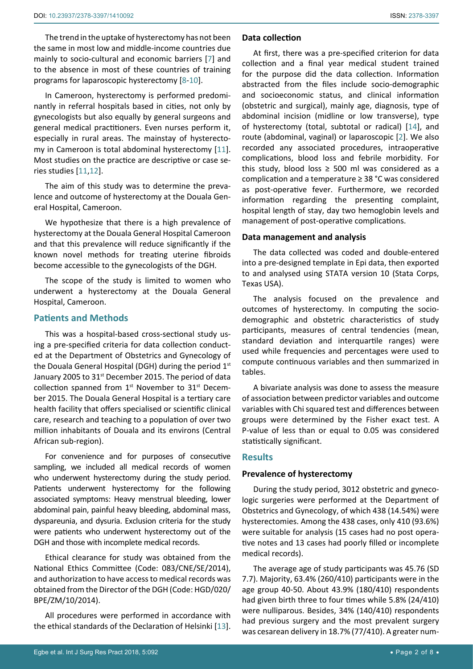The trend in the uptake of hysterectomy has not been the same in most low and middle-income countries due mainly to socio-cultural and economic barriers [\[7\]](#page-7-3) and to the absence in most of these countries of training programs for laparoscopic hysterectomy [\[8](#page-7-4)[-10](#page-7-5)].

In Cameroon, hysterectomy is performed predominantly in referral hospitals based in cities, not only by gynecologists but also equally by general surgeons and general medical practitioners. Even nurses perform it, especially in rural areas. The mainstay of hysterecto-my in Cameroon is total abdominal hysterectomy [\[11](#page-7-6)]. Most studies on the practice are descriptive or case series studies [[11](#page-7-6),[12\]](#page-7-7).

The aim of this study was to determine the prevalence and outcome of hysterectomy at the Douala General Hospital, Cameroon.

We hypothesize that there is a high prevalence of hysterectomy at the Douala General Hospital Cameroon and that this prevalence will reduce significantly if the known novel methods for treating uterine fibroids become accessible to the gynecologists of the DGH.

The scope of the study is limited to women who underwent a hysterectomy at the Douala General Hospital, Cameroon.

# **Patients and Methods**

This was a hospital-based cross-sectional study using a pre-specified criteria for data collection conducted at the Department of Obstetrics and Gynecology of the Douala General Hospital (DGH) during the period 1st January 2005 to 31<sup>st</sup> December 2015. The period of data collection spanned from  $1<sup>st</sup>$  November to  $31<sup>st</sup>$  December 2015. The Douala General Hospital is a tertiary care health facility that offers specialised or scientific clinical care, research and teaching to a population of over two million inhabitants of Douala and its environs (Central African sub-region).

For convenience and for purposes of consecutive sampling, we included all medical records of women who underwent hysterectomy during the study period. Patients underwent hysterectomy for the following associated symptoms: Heavy menstrual bleeding, lower abdominal pain, painful heavy bleeding, abdominal mass, dyspareunia, and dysuria. Exclusion criteria for the study were patients who underwent hysterectomy out of the DGH and those with incomplete medical records.

Ethical clearance for study was obtained from the National Ethics Committee (Code: 083/CNE/SE/2014), and authorization to have access to medical records was obtained from the Director of the DGH (Code: HGD/020/ BPE/ZM/10/2014).

All procedures were performed in accordance with the ethical standards of the Declaration of Helsinki [\[13](#page-7-8)].

# **Data collection**

At first, there was a pre-specified criterion for data collection and a final year medical student trained for the purpose did the data collection. Information abstracted from the files include socio-demographic and socioeconomic status, and clinical information (obstetric and surgical), mainly age, diagnosis, type of abdominal incision (midline or low transverse), type of hysterectomy (total, subtotal or radical) [[14](#page-7-2)], and route (abdominal, vaginal) or laparoscopic [[2](#page-6-1)]. We also recorded any associated procedures, intraoperative complications, blood loss and febrile morbidity. For this study, blood loss  $\ge$  500 ml was considered as a complication and a temperature ≥ 38 °C was considered as post-operative fever. Furthermore, we recorded information regarding the presenting complaint, hospital length of stay, day two hemoglobin levels and management of post-operative complications.

# **Data management and analysis**

The data collected was coded and double-entered into a pre-designed template in Epi data, then exported to and analysed using STATA version 10 (Stata Corps, Texas USA).

The analysis focused on the prevalence and outcomes of hysterectomy. In computing the sociodemographic and obstetric characteristics of study participants, measures of central tendencies (mean, standard deviation and interquartile ranges) were used while frequencies and percentages were used to compute continuous variables and then summarized in tables.

A bivariate analysis was done to assess the measure of association between predictor variables and outcome variables with Chi squared test and differences between groups were determined by the Fisher exact test. A P-value of less than or equal to 0.05 was considered statistically significant.

# **Results**

# **Prevalence of hysterectomy**

During the study period, 3012 obstetric and gynecologic surgeries were performed at the Department of Obstetrics and Gynecology, of which 438 (14.54%) were hysterectomies. Among the 438 cases, only 410 (93.6%) were suitable for analysis (15 cases had no post operative notes and 13 cases had poorly filled or incomplete medical records).

The average age of study participants was 45.76 (SD 7.7). Majority, 63.4% (260/410) participants were in the age group 40-50. About 43.9% (180/410) respondents had given birth three to four times while 5.8% (24/410) were nulliparous. Besides, 34% (140/410) respondents had previous surgery and the most prevalent surgery was cesarean delivery in 18.7% (77/410). A greater num-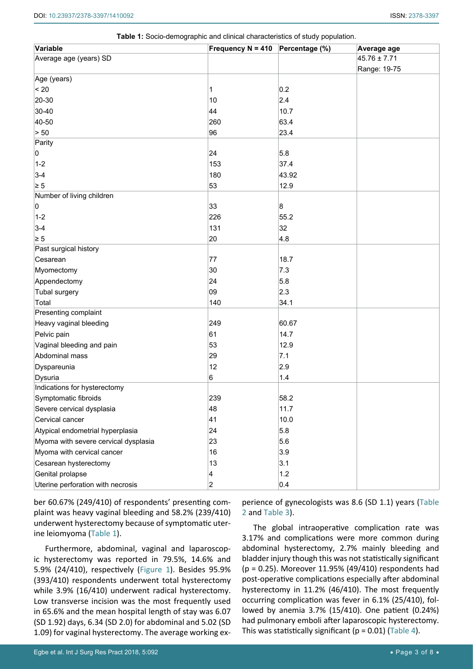| Variable                             | Frequency $N = 410$ Percentage (%) |       | Average age      |
|--------------------------------------|------------------------------------|-------|------------------|
| Average age (years) SD               |                                    |       | $45.76 \pm 7.71$ |
|                                      |                                    |       | Range: 19-75     |
| Age (years)                          |                                    |       |                  |
| < 20                                 | 1                                  | 0.2   |                  |
| 20-30                                | 10                                 | 2.4   |                  |
| 30-40                                | 44                                 | 10.7  |                  |
| 40-50                                | 260                                | 63.4  |                  |
| > 50                                 | 96                                 | 23.4  |                  |
| Parity                               |                                    |       |                  |
| 0                                    | 24                                 | 5.8   |                  |
| $1 - 2$                              | 153                                | 37.4  |                  |
| $3-4$                                | 180                                | 43.92 |                  |
| $\geq 5$                             | 53                                 | 12.9  |                  |
| Number of living children            |                                    |       |                  |
| 0                                    | 33                                 | 8     |                  |
| $1 - 2$                              | 226                                | 55.2  |                  |
| $3-4$                                | 131                                | 32    |                  |
| $\geq 5$                             | 20                                 | 4.8   |                  |
| Past surgical history                |                                    |       |                  |
| Cesarean                             | 77                                 | 18.7  |                  |
| Myomectomy                           | 30                                 | 7.3   |                  |
| Appendectomy                         | 24                                 | 5.8   |                  |
| <b>Tubal surgery</b>                 | 09                                 | 2.3   |                  |
| Total                                | 140                                | 34.1  |                  |
| Presenting complaint                 |                                    |       |                  |
| Heavy vaginal bleeding               | 249                                | 60.67 |                  |
| Pelvic pain                          | 61                                 | 14.7  |                  |
| Vaginal bleeding and pain            | 53                                 | 12.9  |                  |
| Abdominal mass                       | 29                                 | 7.1   |                  |
| Dyspareunia                          | 12                                 | 2.9   |                  |
| Dysuria                              | 6                                  | 1.4   |                  |
| Indications for hysterectomy         |                                    |       |                  |
| Symptomatic fibroids                 | 239                                | 58.2  |                  |
| Severe cervical dysplasia            | 48                                 | 11.7  |                  |
| Cervical cancer                      | 41                                 | 10.0  |                  |
| Atypical endometrial hyperplasia     | 24                                 | 5.8   |                  |
| Myoma with severe cervical dysplasia | 23                                 | 5.6   |                  |
| Myoma with cervical cancer           | 16                                 | 3.9   |                  |
| Cesarean hysterectomy                | 13                                 | 3.1   |                  |
| Genital prolapse                     | 4                                  | $1.2$ |                  |
| Uterine perforation with necrosis    | $\overline{c}$                     | 0.4   |                  |

<span id="page-2-0"></span>

| <b>Table 1:</b> Socio-demographic and clinical characteristics of study population. |  |
|-------------------------------------------------------------------------------------|--|
|-------------------------------------------------------------------------------------|--|

ber 60.67% (249/410) of respondents' presenting complaint was heavy vaginal bleeding and 58.2% (239/410) underwent hysterectomy because of symptomatic uterine leiomyoma ([Table 1](#page-2-0)).

Furthermore, abdominal, vaginal and laparoscopic hysterectomy was reported in 79.5%, 14.6% and 5.9% (24/410), respectively [\(Figure 1](#page-3-1)). Besides 95.9% (393/410) respondents underwent total hysterectomy while 3.9% (16/410) underwent radical hysterectomy. Low transverse incision was the most frequently used in 65.6% and the mean hospital length of stay was 6.07 (SD 1.92) days, 6.34 (SD 2.0) for abdominal and 5.02 (SD 1.09) for vaginal hysterectomy. The average working ex-

perience of gynecologists was 8.6 (SD 1.1) years [\(Table](#page-3-0)  [2](#page-3-0) and [Table 3\)](#page-4-0).

The global intraoperative complication rate was 3.17% and complications were more common during abdominal hysterectomy, 2.7% mainly bleeding and bladder injury though this was not statistically significant (p = 0.25). Moreover 11.95% (49/410) respondents had post-operative complications especially after abdominal hysterectomy in 11.2% (46/410). The most frequently occurring complication was fever in 6.1% (25/410), followed by anemia 3.7% (15/410). One patient (0.24%) had pulmonary emboli after laparoscopic hysterectomy. This was statistically significant ( $p = 0.01$ ) [\(Table 4](#page-4-1)).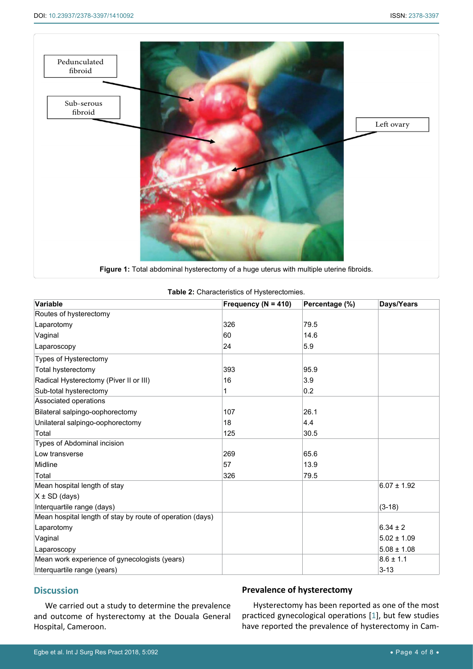<span id="page-3-1"></span>

<span id="page-3-0"></span>

| Table 2: Characteristics of Hysterectomies. |  |
|---------------------------------------------|--|
|---------------------------------------------|--|

| Variable                                                  | Frequency ( $N = 410$ ) | Percentage (%) | Days/Years      |
|-----------------------------------------------------------|-------------------------|----------------|-----------------|
| Routes of hysterectomy                                    |                         |                |                 |
| Laparotomy                                                | 326                     | 79.5           |                 |
| Vaginal                                                   | 60                      | 14.6           |                 |
| Laparoscopy                                               | 24                      | 5.9            |                 |
| Types of Hysterectomy                                     |                         |                |                 |
| Total hysterectomy                                        | 393                     | 95.9           |                 |
| Radical Hysterectomy (Piver II or III)                    | 16                      | 3.9            |                 |
| Sub-total hysterectomy                                    |                         | 0.2            |                 |
| Associated operations                                     |                         |                |                 |
| Bilateral salpingo-oophorectomy                           | 107                     | 26.1           |                 |
| Unilateral salpingo-oophorectomy                          | 18                      | 4.4            |                 |
| Total                                                     | 125                     | 30.5           |                 |
| Types of Abdominal incision                               |                         |                |                 |
| Low transverse                                            | 269                     | 65.6           |                 |
| Midline                                                   | 57                      | 13.9           |                 |
| Total                                                     | 326                     | 79.5           |                 |
| Mean hospital length of stay                              |                         |                | $6.07 \pm 1.92$ |
| $X \pm SD$ (days)                                         |                         |                |                 |
| Interquartile range (days)                                |                         |                | $(3-18)$        |
| Mean hospital length of stay by route of operation (days) |                         |                |                 |
| Laparotomy                                                |                         |                | $6.34 \pm 2$    |
| Vaginal                                                   |                         |                | $5.02 \pm 1.09$ |
| Laparoscopy                                               |                         |                | $5.08 \pm 1.08$ |
| Mean work experience of gynecologists (years)             |                         |                | $8.6 \pm 1.1$   |
| Interquartile range (years)                               |                         |                | $3 - 13$        |

# **Discussion**

We carried out a study to determine the prevalence and outcome of hysterectomy at the Douala General Hospital, Cameroon.

# **Prevalence of hysterectomy**

Hysterectomy has been reported as one of the most practiced gynecological operations [[1](#page-6-0)], but few studies have reported the prevalence of hysterectomy in Cam-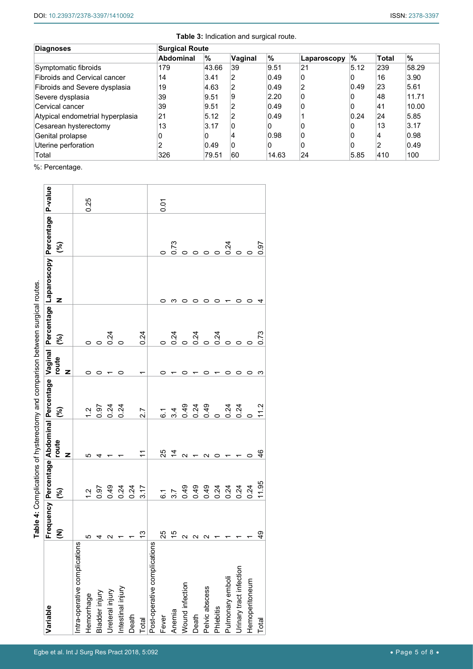<span id="page-4-0"></span>

| <b>Diagnoses</b>                    | <b>Surgical Route</b> |       |              |       |             |              |              |       |
|-------------------------------------|-----------------------|-------|--------------|-------|-------------|--------------|--------------|-------|
|                                     | <b>Abdominal</b>      | %     | Vaginal      | %     | Laparoscopy | '%           | <b>Total</b> | $\%$  |
| Symptomatic fibroids                | 179                   | 43.66 | 39           | 9.51  | 21          | 5.12         | 239          | 58.29 |
| <b>Fibroids and Cervical cancer</b> | 14                    | 3.41  | 2            | 0.49  | 0           | 0            | 16           | 3.90  |
| Fibroids and Severe dysplasia       | 19                    | 4.63  | 2            | 0.49  |             | 0.49         | 23           | 5.61  |
| Severe dysplasia                    | 39                    | 9.51  | 9            | 2.20  | 0           | <sup>0</sup> | 48           | 11.71 |
| Cervical cancer                     | 39                    | 9.51  | 2            | 0.49  | 0           | 0            | 41           | 10.00 |
| Atypical endometrial hyperplasia    | 21                    | 5.12  | 2            | 0.49  |             | 0.24         | 24           | 5.85  |
| Cesarean hysterectomy               | 13                    | 3.17  | 0            |       | 0           | O            | 13           | 3.17  |
| Genital prolapse                    | 0                     | 0     | 4            | 0.98  | 0           | 0            |              | 0.98  |
| Uterine perforation                 | 2                     | 0.49  | $\mathbf{0}$ | 0     | 0           | 0            | 2            | 0.49  |
| Total                               | 326                   | 79.51 | 60           | 14.63 | 24          | 5.85         | 410          | 100   |

%: Percentage.

|                               |                      |                 |                   |                |            | ■ and #: Complete the Structure of the Structure of the Structure of the Structure of the Structure of the Structure of the Structure of the Structure of the Structure of the Structure of the Structure of the Structure of |                                                                                             |               |      |
|-------------------------------|----------------------|-----------------|-------------------|----------------|------------|-------------------------------------------------------------------------------------------------------------------------------------------------------------------------------------------------------------------------------|---------------------------------------------------------------------------------------------|---------------|------|
| Variable                      |                      |                 |                   |                |            |                                                                                                                                                                                                                               | Frequency Percentage Abdominal Percentage Vaginal Percentage Laparoscopy Percentage P-value |               |      |
|                               | $\widehat{\epsilon}$ | જી              | route<br>z        | $\mathcal{E}$  | route<br>z | જી                                                                                                                                                                                                                            | z                                                                                           | $\mathcal{E}$ |      |
| Intra-operative complications |                      |                 |                   |                |            |                                                                                                                                                                                                                               |                                                                                             |               |      |
| Hemorrhage                    | Ю                    | $\ddot{5}$      | LO                | $\ddot{5}$     |            | $\circ$                                                                                                                                                                                                                       |                                                                                             |               | 0.25 |
| Bladder injury                |                      | 0.97            | 4                 | 0.97           |            | $\circ$                                                                                                                                                                                                                       |                                                                                             |               |      |
| Ureteral injury               | $4N +$               | 0.49            |                   | 0.24           |            | 0.24                                                                                                                                                                                                                          |                                                                                             |               |      |
| Intestinal injury             |                      | 0.24            |                   | 0.24           | 0          | $\circ$                                                                                                                                                                                                                       |                                                                                             |               |      |
| Death                         | $\overline{ }$       | 0.24            |                   |                |            |                                                                                                                                                                                                                               |                                                                                             |               |      |
| Total                         | $\frac{3}{2}$        | 3.17            | Ξ                 | 2.7            |            | 0.24                                                                                                                                                                                                                          |                                                                                             |               |      |
| Post-operative complications  |                      |                 |                   |                |            |                                                                                                                                                                                                                               |                                                                                             |               |      |
| Fever                         | 25<br>15             | $\tilde{\circ}$ | 25                | <u>ی</u>       |            |                                                                                                                                                                                                                               |                                                                                             |               | 0.07 |
| Anemia                        |                      | 3.7             | $\dot{4}$         | 3.4            |            |                                                                                                                                                                                                                               |                                                                                             |               |      |
| Wound infection               |                      | 0.49            | $\mathbf{\Omega}$ | $0.49$<br>0.24 |            |                                                                                                                                                                                                                               |                                                                                             |               |      |
| Death                         |                      | 0.49            |                   |                |            | $\frac{34}{20}$ $\frac{4}{20}$ $\frac{4}{20}$ $\frac{4}{20}$                                                                                                                                                                  |                                                                                             | ~<br>00000    |      |
| Pelvic abscess                |                      | 0.49            | $\mathbf{\Omega}$ | 0.49           |            |                                                                                                                                                                                                                               |                                                                                             |               |      |
| Phlebitis                     |                      | 0.24            | 0                 | $\circ$        |            |                                                                                                                                                                                                                               | o                                                                                           |               |      |
| Pulmonary emboli              |                      | 0.24            |                   | 0.24           |            |                                                                                                                                                                                                                               |                                                                                             | 0.24          |      |
| Urinary tract infection       |                      | 0.24            |                   | 0.24           |            |                                                                                                                                                                                                                               |                                                                                             |               |      |
| Hemoperitoneum                |                      | 0.24            | 0                 |                | 0          |                                                                                                                                                                                                                               | 0                                                                                           |               |      |
| Total                         | $\frac{9}{4}$        | 11.95           | $\frac{6}{4}$     | 11.2           | ω          | 0.73                                                                                                                                                                                                                          | 4                                                                                           | 0.97          |      |

<span id="page-4-1"></span>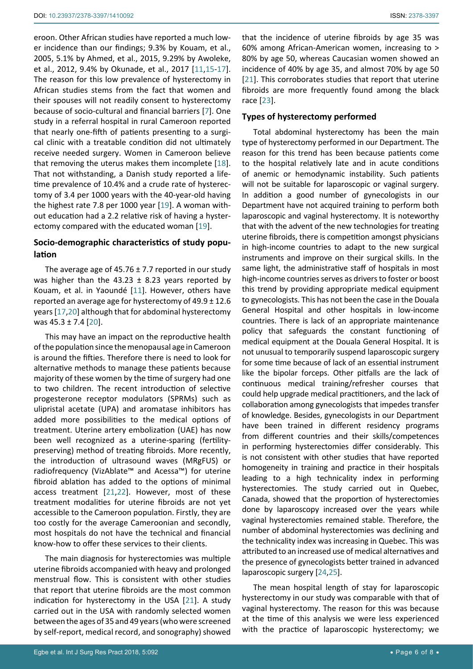eroon. Other African studies have reported a much lower incidence than our findings; 9.3% by Kouam, et al., 2005, 5.1% by Ahmed, et al., 2015, 9.29% by Awoleke, et al., 2012, 9.4% by Okunade, et al., 2017 [[11](#page-7-6),[15](#page-7-13)[-17](#page-7-14)]. The reason for this low prevalence of hysterectomy in African studies stems from the fact that women and their spouses will not readily consent to hysterectomy because of socio-cultural and financial barriers [[7](#page-7-3)]. One study in a referral hospital in rural Cameroon reported that nearly one-fifth of patients presenting to a surgical clinic with a treatable condition did not ultimately receive needed surgery. Women in Cameroon believe that removing the uterus makes them incomplete [\[18](#page-7-15)]. That not withstanding, a Danish study reported a lifetime prevalence of 10.4% and a crude rate of hysterectomy of 3.4 per 1000 years with the 40-year-old having the highest rate 7.8 per 1000 year [[19](#page-7-16)]. A woman without education had a 2.2 relative risk of having a hysterectomy compared with the educated woman [[19\]](#page-7-16).

# **Socio-demographic characteristics of study population**

The average age of  $45.76 \pm 7.7$  reported in our study was higher than the 43.23  $\pm$  8.23 years reported by Kouam, et al. in Yaoundé [[11\]](#page-7-6). However, others have reported an average age for hysterectomy of 49.9 ± 12.6 years [[17](#page-7-14),[20\]](#page-7-17) although that for abdominal hysterectomy was  $45.3 \pm 7.4$  [\[20](#page-7-17)].

This may have an impact on the reproductive health of the population since the menopausal age in Cameroon is around the fifties. Therefore there is need to look for alternative methods to manage these patients because majority of these women by the time of surgery had one to two children. The recent introduction of selective progesterone receptor modulators (SPRMs) such as ulipristal acetate (UPA) and aromatase inhibitors has added more possibilities to the medical options of treatment. Uterine artery embolization (UAE) has now been well recognized as a uterine-sparing (fertilitypreserving) method of treating fibroids. More recently, the introduction of ultrasound waves (MRgFUS) or radiofrequency (VizAblate™ and Acessa™) for uterine fibroid ablation has added to the options of minimal access treatment [\[21](#page-7-9),[22](#page-7-18)]. However, most of these treatment modalities for uterine fibroids are not yet accessible to the Cameroon population. Firstly, they are too costly for the average Cameroonian and secondly, most hospitals do not have the technical and financial know-how to offer these services to their clients.

The main diagnosis for hysterectomies was multiple uterine fibroids accompanied with heavy and prolonged menstrual flow. This is consistent with other studies that report that uterine fibroids are the most common indication for hysterectomy in the USA [\[21](#page-7-9)]. A study carried out in the USA with randomly selected women between the ages of 35 and 49 years (who were screened by self-report, medical record, and sonography) showed that the incidence of uterine fibroids by age 35 was 60% among African-American women, increasing to > 80% by age 50, whereas Caucasian women showed an incidence of 40% by age 35, and almost 70% by age 50 [\[21](#page-7-9)]. This corroborates studies that report that uterine fibroids are more frequently found among the black race [[23\]](#page-7-10).

# **Types of hysterectomy performed**

Total abdominal hysterectomy has been the main type of hysterectomy performed in our Department. The reason for this trend has been because patients come to the hospital relatively late and in acute conditions of anemic or hemodynamic instability. Such patients will not be suitable for laparoscopic or vaginal surgery. In addition a good number of gynecologists in our Department have not acquired training to perform both laparoscopic and vaginal hysterectomy. It is noteworthy that with the advent of the new technologies for treating uterine fibroids, there is competition amongst physicians in high-income countries to adapt to the new surgical instruments and improve on their surgical skills. In the same light, the administrative staff of hospitals in most high-income countries serves as drivers to foster or boost this trend by providing appropriate medical equipment to gynecologists. This has not been the case in the Douala General Hospital and other hospitals in low-income countries. There is lack of an appropriate maintenance policy that safeguards the constant functioning of medical equipment at the Douala General Hospital. It is not unusual to temporarily suspend laparoscopic surgery for some time because of lack of an essential instrument like the bipolar forceps. Other pitfalls are the lack of continuous medical training/refresher courses that could help upgrade medical practitioners, and the lack of collaboration among gynecologists that impedes transfer of knowledge. Besides, gynecologists in our Department have been trained in different residency programs from different countries and their skills/competences in performing hysterectomies differ considerably. This is not consistent with other studies that have reported homogeneity in training and practice in their hospitals leading to a high technicality index in performing hysterectomies. The study carried out in Quebec, Canada, showed that the proportion of hysterectomies done by laparoscopy increased over the years while vaginal hysterectomies remained stable. Therefore, the number of abdominal hysterectomies was declining and the technicality index was increasing in Quebec. This was attributed to an increased use of medical alternatives and the presence of gynecologists better trained in advanced laparoscopic surgery [\[24](#page-7-11),[25\]](#page-7-12).

The mean hospital length of stay for laparoscopic hysterectomy in our study was comparable with that of vaginal hysterectomy. The reason for this was because at the time of this analysis we were less experienced with the practice of laparoscopic hysterectomy; we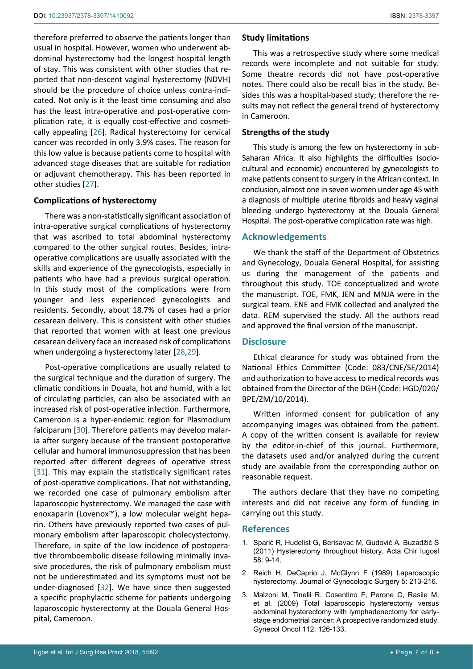therefore preferred to observe the patients longer than usual in hospital. However, women who underwent abdominal hysterectomy had the longest hospital length of stay. This was consistent with other studies that reported that non-descent vaginal hysterectomy (NDVH) should be the procedure of choice unless contra-indicated. Not only is it the least time consuming and also has the least intra-operative and post-operative complication rate, it is equally cost-effective and cosmetically appealing [\[26](#page-7-19)]. Radical hysterectomy for cervical cancer was recorded in only 3.9% cases. The reason for this low value is because patients come to hospital with advanced stage diseases that are suitable for radiation or adjuvant chemotherapy. This has been reported in other studies [\[27](#page-7-20)].

## **Complications of hysterectomy**

There was a non-statistically significant association of intra-operative surgical complications of hysterectomy that was ascribed to total abdominal hysterectomy compared to the other surgical routes. Besides, intraoperative complications are usually associated with the skills and experience of the gynecologists, especially in patients who have had a previous surgical operation. In this study most of the complications were from younger and less experienced gynecologists and residents. Secondly, about 18.7% of cases had a prior cesarean delivery. This is consistent with other studies that reported that women with at least one previous cesarean delivery face an increased risk of complications when undergoing a hysterectomy later [[28](#page-7-21),[29\]](#page-7-22).

Post-operative complications are usually related to the surgical technique and the duration of surgery. The climatic conditions in Douala, hot and humid, with a lot of circulating particles, can also be associated with an increased risk of post-operative infection. Furthermore, Cameroon is a hyper-endemic region for Plasmodium falciparum [\[30](#page-7-23)]. Therefore patients may develop malaria after surgery because of the transient postoperative cellular and humoral immunosuppression that has been reported after different degrees of operative stress [[31](#page-7-24)]. This may explain the statistically significant rates of post-operative complications. That not withstanding, we recorded one case of pulmonary embolism after laparoscopic hysterectomy. We managed the case with enoxaparin (Lovenox™), a low molecular weight heparin. Others have previously reported two cases of pulmonary embolism after laparoscopic cholecystectomy. Therefore, in spite of the low incidence of postoperative thromboembolic disease following minimally invasive procedures, the risk of pulmonary embolism must not be underestimated and its symptoms must not be under-diagnosed [\[32](#page-7-25)]. We have since then suggested a specific prophylactic scheme for patients undergoing laparoscopic hysterectomy at the Douala General Hospital, Cameroon.

## **Study limitations**

This was a retrospective study where some medical records were incomplete and not suitable for study. Some theatre records did not have post-operative notes. There could also be recall bias in the study. Besides this was a hospital-based study; therefore the results may not reflect the general trend of hysterectomy in Cameroon.

## **Strengths of the study**

This study is among the few on hysterectomy in sub-Saharan Africa. It also highlights the difficulties (sociocultural and economic) encountered by gynecologists to make patients consent to surgery in the African context. In conclusion, almost one in seven women under age 45 with a diagnosis of multiple uterine fibroids and heavy vaginal bleeding undergo hysterectomy at the Douala General Hospital. The post-operative complication rate was high.

## **Acknowledgements**

We thank the staff of the Department of Obstetrics and Gynecology, Douala General Hospital, for assisting us during the management of the patients and throughout this study. TOE conceptualized and wrote the manuscript. TOE, FMK, JEN and MNJA were in the surgical team. ENE and FMK collected and analyzed the data. REM supervised the study. All the authors read and approved the final version of the manuscript.

# **Disclosure**

Ethical clearance for study was obtained from the National Ethics Committee (Code: 083/CNE/SE/2014) and authorization to have access to medical records was obtained from the Director of the DGH (Code: HGD/020/ BPE/ZM/10/2014).

Written informed consent for publication of any accompanying images was obtained from the patient. A copy of the written consent is available for review by the editor-in-chief of this journal. Furthermore, the datasets used and/or analyzed during the current study are available from the corresponding author on reasonable request.

The authors declare that they have no competing interests and did not receive any form of funding in carrying out this study.

## **References**

- <span id="page-6-0"></span>1. [Sparić R, Hudelist G, Berisavac M, Gudović A, Buzadžić S](https://www.ncbi.nlm.nih.gov/pubmed/22519184)  [\(2011\) Hysterectomy throughout history. Acta Chir Iugosl](https://www.ncbi.nlm.nih.gov/pubmed/22519184)  [58: 9-14.](https://www.ncbi.nlm.nih.gov/pubmed/22519184)
- <span id="page-6-1"></span>2. [Reich H, DeCaprio J, McGlynn F \(1989\) Laparoscopic](https://www.liebertpub.com/doi/abs/10.1089/gyn.1989.5.213)  [hysterectomy. Journal of Gynecologic Surgery 5: 213-216.](https://www.liebertpub.com/doi/abs/10.1089/gyn.1989.5.213)
- <span id="page-6-2"></span>3. [Malzoni M, Tinelli R, Cosentino F, Perone C, Rasile M,](https://www.ncbi.nlm.nih.gov/pubmed/18947861)  [et al. \(2009\) Total laparoscopic hysterectomy versus](https://www.ncbi.nlm.nih.gov/pubmed/18947861)  [abdominal hysterectomy with lymphadenectomy for early](https://www.ncbi.nlm.nih.gov/pubmed/18947861)[stage endometrial cancer: A prospective randomized study.](https://www.ncbi.nlm.nih.gov/pubmed/18947861)  [Gynecol Oncol 112: 126-133.](https://www.ncbi.nlm.nih.gov/pubmed/18947861)